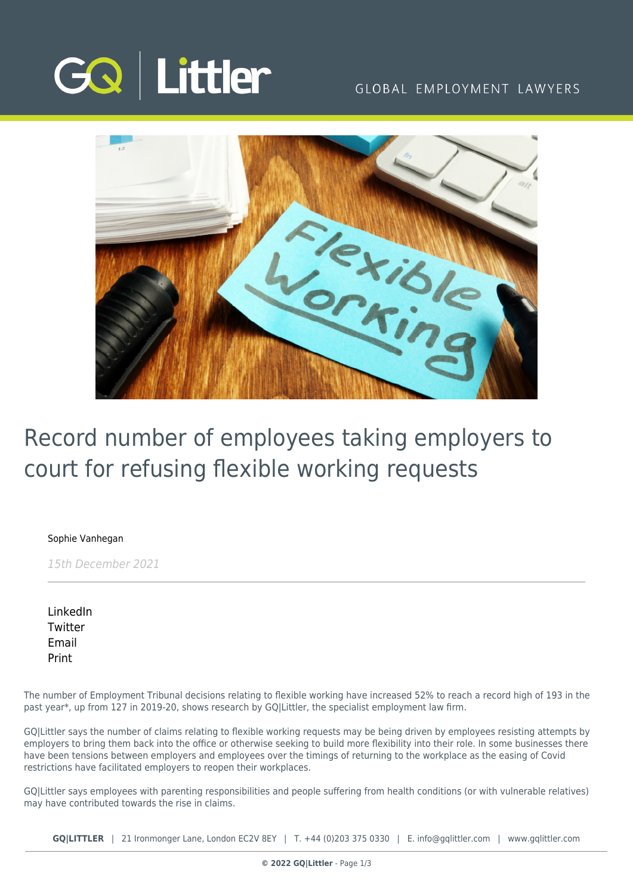

### GLOBAL EMPLOYMENT LAWYERS



# Record number of employees taking employers to court for refusing flexible working requests

[Sophie Vanhegan](https://www.gqlittler.com/about-us/the-team/sophie-vanhegan)

15th December 2021

[LinkedIn](https://www.linkedin.com/shareArticle?mini=true&url=https%3A%2F%2Fwww.gqlittler.com%2Fresources%2Fnews-and-views%2Frecord-number-of-employees-taking-employers-to-court-for-refusing-flexible-working-requests.htm%3Funlock%3Dtrue&title=Record+number+of+employees+taking+employers+to+court+for+refusing+flexible+working+requests&summary=Number+of+tribunal+cases+up+52%25+in+a+year&source=GQ+%7C+Littler) **[Twitter](https://twitter.com/share?text=Record+number+of+employees+taking+employers+to+court+for+refusing+flexible+working+requests&url=https%3A%2F%2Fwww.gqlittler.com%2Fresources%2Fnews-and-views%2Frecord-number-of-employees-taking-employers-to-court-for-refusing-flexible-working-requests.htm&hashtags=)** [Email](mailto:?subject=Record number of employees taking employers to court for refusing flexible working requests&body=I) [Print](https://www.bg-pdf.co.uk/_GQ/page.php?M=6148523063484d364c793933643363755a33467361585230624756794c6d4e76625339795a584e7664584a6a5a584d76626d563363793168626d5174646d6c6c64334d76636d566a62334a6b4c57353162574a6c636931765a69316c6258427362336c6c5a584d74644746726157356e4c5756746347787665575679637931306279316a623356796443316d62334974636d566d64584e70626d63745a6d786c65476c69624755746432397961326c755a7931795a5846315a584e306379356f6447306a51434e535a574e76636d5167626e5674596d56794947396d49475674634778766557566c6379423059577470626d63675a573177624739355a584a7a4948527649474e7664584a3049475a76636942795a575a3163326c755a79426d6247563461574a735a53423362334a726157356e49484a6c6358566c6333527a4930416a636d566a62334a6b4c57353162574a6c636931765a69316c6258427362336c6c5a584d74644746726157356e4c5756746347787665575679637931306279316a623356796443316d62334974636d566d64584e70626d63745a6d786c65476c69624755746432397961326c755a7931795a5846315a584e3063773d3d)

The number of Employment Tribunal decisions relating to flexible working have increased 52% to reach a record high of 193 in the past year\*, up from 127 in 2019-20, shows research by GQ|Littler, the specialist employment law firm.

GQ|Littler says the number of claims relating to flexible working requests may be being driven by employees resisting attempts by employers to bring them back into the office or otherwise seeking to build more flexibility into their role. In some businesses there have been tensions between employers and employees over the timings of returning to the workplace as the easing of Covid restrictions have facilitated employers to reopen their workplaces.

GQ|Littler says employees with parenting responsibilities and people suffering from health conditions (or with vulnerable relatives) may have contributed towards the rise in claims.

**GQ|LITTLER** | 21 Ironmonger Lane, London EC2V 8EY | T. [+44 \(0\)203 375 0330](https://www.bg-pdf.co.uk/_GQ/tel:+442033750330) | E. [info@gqlittler.com](mailto:info@gqlittler.com) | [www.gqlittler.com](https://www.gqlittler.com)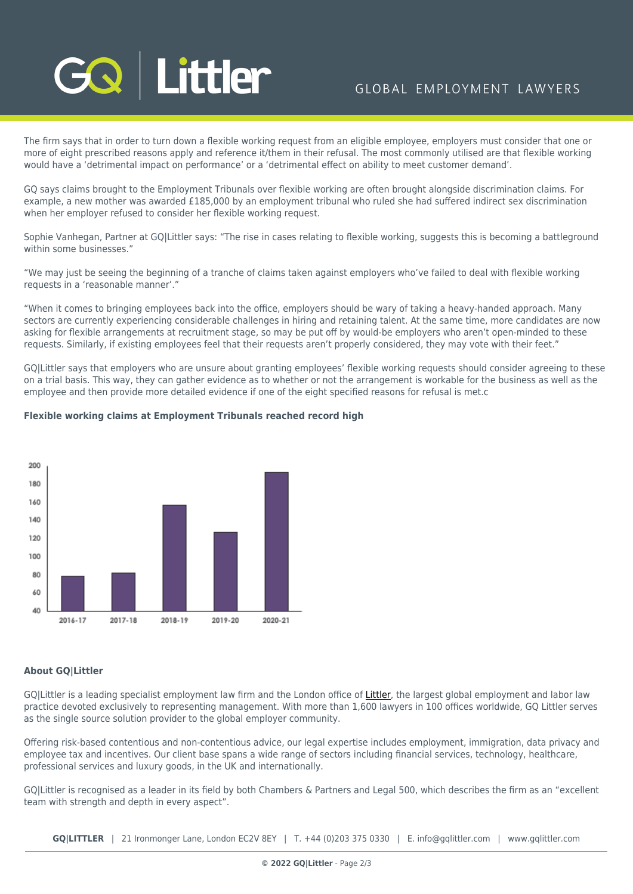# Littler

# GLOBAL EMPLOYMENT LAWYERS

The firm says that in order to turn down a flexible working request from an eligible employee, employers must consider that one or more of eight prescribed reasons apply and reference it/them in their refusal. The most commonly utilised are that flexible working would have a 'detrimental impact on performance' or a 'detrimental effect on ability to meet customer demand'.

GQ says claims brought to the Employment Tribunals over flexible working are often brought alongside discrimination claims. For example, a new mother was awarded £185,000 by an employment tribunal who ruled she had suffered indirect sex discrimination when her employer refused to consider her flexible working request.

Sophie Vanhegan, Partner at GQ|Littler says: "The rise in cases relating to flexible working, suggests this is becoming a battleground within some businesses."

"We may just be seeing the beginning of a tranche of claims taken against employers who've failed to deal with flexible working requests in a 'reasonable manner'."

"When it comes to bringing employees back into the office, employers should be wary of taking a heavy-handed approach. Many sectors are currently experiencing considerable challenges in hiring and retaining talent. At the same time, more candidates are now asking for flexible arrangements at recruitment stage, so may be put off by would-be employers who aren't open-minded to these requests. Similarly, if existing employees feel that their requests aren't properly considered, they may vote with their feet."

GQ|Littler says that employers who are unsure about granting employees' flexible working requests should consider agreeing to these on a trial basis. This way, they can gather evidence as to whether or not the arrangement is workable for the business as well as the employee and then provide more detailed evidence if one of the eight specified reasons for refusal is met.c

#### 200 180 1.60 140 120 100 80 60 40 2016-17 2017-18 2018-19 2019-20 2020-21

#### **Flexible working claims at Employment Tribunals reached record high**

#### **About GQ|Littler**

GO|Littler is a leading specialist employment law firm and the London office of [Littler,](https://www.littler.com/) the largest global employment and labor law practice devoted exclusively to representing management. With more than 1,600 lawyers in 100 offices worldwide, GQ Littler serves as the single source solution provider to the global employer community.

Offering risk-based contentious and non-contentious advice, our legal expertise includes employment, immigration, data privacy and employee tax and incentives. Our client base spans a wide range of sectors including financial services, technology, healthcare, professional services and luxury goods, in the UK and internationally.

GQ|Littler is recognised as a leader in its field by both Chambers & Partners and Legal 500, which describes the firm as an "excellent team with strength and depth in every aspect".

**GQ|LITTLER** | 21 Ironmonger Lane, London EC2V 8EY | T. [+44 \(0\)203 375 0330](https://www.bg-pdf.co.uk/_GQ/tel:+442033750330) | E. [info@gqlittler.com](mailto:info@gqlittler.com) | [www.gqlittler.com](https://www.gqlittler.com)